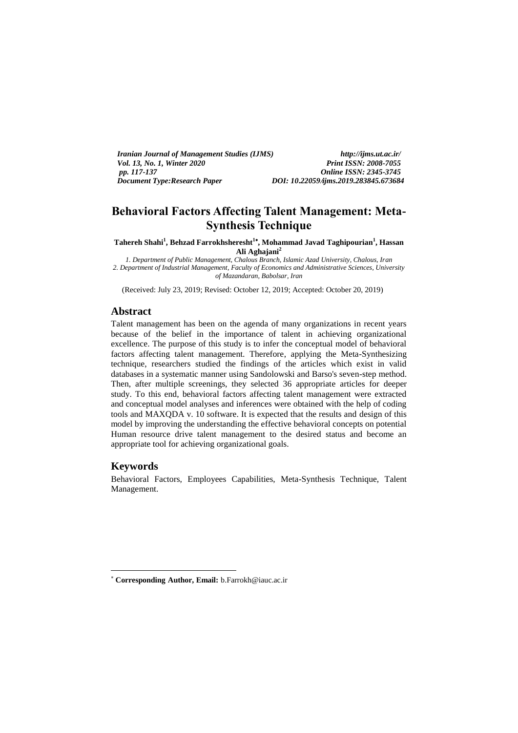*Iranian Journal of Management Studies (IJMS) http://ijms.ut.ac.ir/ Vol. 13, No. 1, Winter 2020*<br>pp. 117-137 *pp. 117-137 Online ISSN: 2345-3745 Document Type:Research Paper DOI: 10***.***22059***/***ijms.2019.283845.673684*

# **Behavioral Factors Affecting Talent Management: Meta-Synthesis Technique**

**Tahereh Shahi<sup>1</sup> , Behzad Farrokhsheresht<sup>1</sup> , Mohammad Javad Taghipourian<sup>1</sup> , Hassan Ali Aghajani<sup>2</sup>**

*1. Department of Public Management, Chalous Branch, Islamic Azad University, Chalous, Iran 2. Department of Industrial Management, Faculty of Economics and Administrative Sciences, University of Mazandaran, Babolsar, Iran*

(Received: July 23, 2019; Revised: October 12, 2019; Accepted: October 20, 2019)

# **Abstract**

Talent management has been on the agenda of many organizations in recent years because of the belief in the importance of talent in achieving organizational excellence. The purpose of this study is to infer the conceptual model of behavioral factors affecting talent management. Therefore, applying the Meta-Synthesizing technique, researchers studied the findings of the articles which exist in valid databases in a systematic manner using Sandolowski and Barso's seven-step method. Then, after multiple screenings, they selected 36 appropriate articles for deeper study. To this end, behavioral factors affecting talent management were extracted and conceptual model analyses and inferences were obtained with the help of coding tools and MAXQDA v. 10 software. It is expected that the results and design of this model by improving the understanding the effective behavioral concepts on potential Human resource drive talent management to the desired status and become an appropriate tool for achieving organizational goals.

#### **Keywords**

-

Behavioral Factors, Employees Capabilities, Meta-Synthesis Technique, Talent Management.

**Corresponding Author, Email:** b.Farrokh@iauc.ac.ir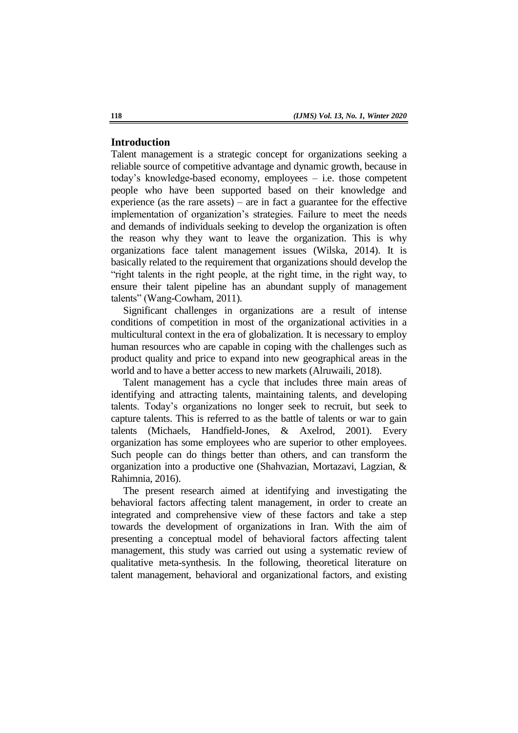# **Introduction**

Talent management is a strategic concept for organizations seeking a reliable source of competitive advantage and dynamic growth, because in today's knowledge-based economy, employees – i.e. those competent people who have been supported based on their knowledge and experience (as the rare assets) – are in fact a guarantee for the effective implementation of organization's strategies. Failure to meet the needs and demands of individuals seeking to develop the organization is often the reason why they want to leave the organization. This is why organizations face talent management issues (Wilska, 2014). It is basically related to the requirement that organizations should develop the "right talents in the right people, at the right time, in the right way, to ensure their talent pipeline has an abundant supply of management talents" (Wang-Cowham, 2011).

Significant challenges in organizations are a result of intense conditions of competition in most of the organizational activities in a multicultural context in the era of globalization. It is necessary to employ human resources who are capable in coping with the challenges such as product quality and price to expand into new geographical areas in the world and to have a better access to new markets (Alruwaili, 2018).

Talent management has a cycle that includes three main areas of identifying and attracting talents, maintaining talents, and developing talents. Today's organizations no longer seek to recruit, but seek to capture talents. This is referred to as the battle of talents or war to gain talents (Michaels, Handfield-Jones, & Axelrod, 2001). Every organization has some employees who are superior to other employees. Such people can do things better than others, and can transform the organization into a productive one (Shahvazian, Mortazavi, Lagzian, & Rahimnia, 2016).

The present research aimed at identifying and investigating the behavioral factors affecting talent management, in order to create an integrated and comprehensive view of these factors and take a step towards the development of organizations in Iran. With the aim of presenting a conceptual model of behavioral factors affecting talent management, this study was carried out using a systematic review of qualitative meta-synthesis. In the following, theoretical literature on talent management, behavioral and organizational factors, and existing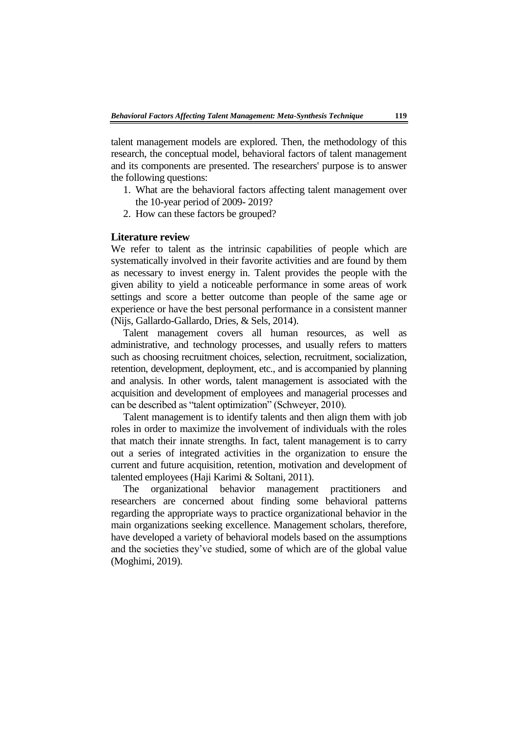talent management models are explored. Then, the methodology of this research, the conceptual model, behavioral factors of talent management and its components are presented. The researchers' purpose is to answer the following questions:

- 1. What are the behavioral factors affecting talent management over the 10-year period of 2009- 2019?
- 2. How can these factors be grouped?

## **Literature review**

We refer to talent as the intrinsic capabilities of people which are systematically involved in their favorite activities and are found by them as necessary to invest energy in. Talent provides the people with the given ability to yield a noticeable performance in some areas of work settings and score a better outcome than people of the same age or experience or have the best personal performance in a consistent manner (Nijs, Gallardo-Gallardo, Dries, & Sels, 2014).

Talent management covers all human resources, as well as administrative, and technology processes, and usually refers to matters such as choosing recruitment choices, selection, recruitment, socialization, retention, development, deployment, etc., and is accompanied by planning and analysis. In other words, talent management is associated with the acquisition and development of employees and managerial processes and can be described as "talent optimization" (Schweyer, 2010).

Talent management is to identify talents and then align them with job roles in order to maximize the involvement of individuals with the roles that match their innate strengths. In fact, talent management is to carry out a series of integrated activities in the organization to ensure the current and future acquisition, retention, motivation and development of talented employees (Haji Karimi & Soltani, 2011).

The organizational behavior management practitioners and researchers are concerned about finding some behavioral patterns regarding the appropriate ways to practice organizational behavior in the main organizations seeking excellence. Management scholars, therefore, have developed a variety of behavioral models based on the assumptions and the societies they've studied, some of which are of the global value (Moghimi, 2019).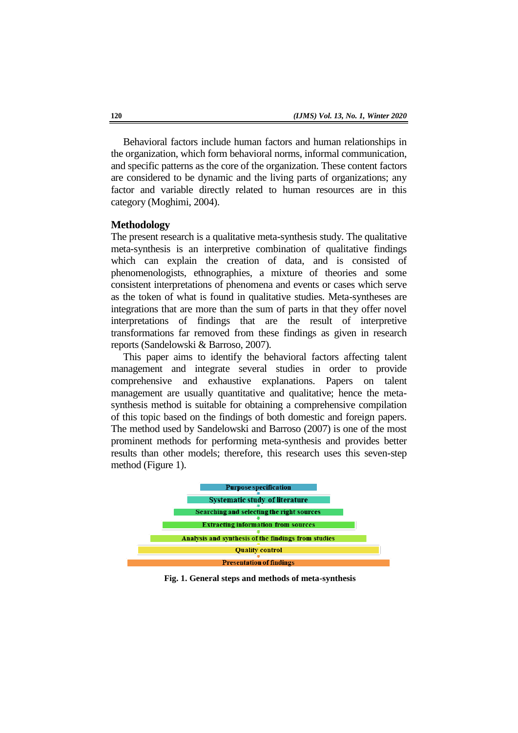Behavioral factors include human factors and human relationships in the organization, which form behavioral norms, informal communication, and specific patterns as the core of the organization. These content factors are considered to be dynamic and the living parts of organizations; any factor and variable directly related to human resources are in this category (Moghimi, 2004).

#### **Methodology**

The present research is a qualitative meta-synthesis study. The qualitative meta-synthesis is an interpretive combination of qualitative findings which can explain the creation of data, and is consisted of phenomenologists, ethnographies, a mixture of theories and some consistent interpretations of phenomena and events or cases which serve as the token of what is found in qualitative studies. Meta-syntheses are integrations that are more than the sum of parts in that they offer novel interpretations of findings that are the result of interpretive transformations far removed from these findings as given in research reports (Sandelowski & Barroso, 2007).

This paper aims to identify the behavioral factors affecting talent management and integrate several studies in order to provide comprehensive and exhaustive explanations. Papers on talent management are usually quantitative and qualitative; hence the metasynthesis method is suitable for obtaining a comprehensive compilation of this topic based on the findings of both domestic and foreign papers. The method used by Sandelowski and Barroso (2007) is one of the most prominent methods for performing meta-synthesis and provides better results than other models; therefore, this research uses this seven-step method (Figure 1).



**Fig. 1. General steps and methods of meta-synthesis**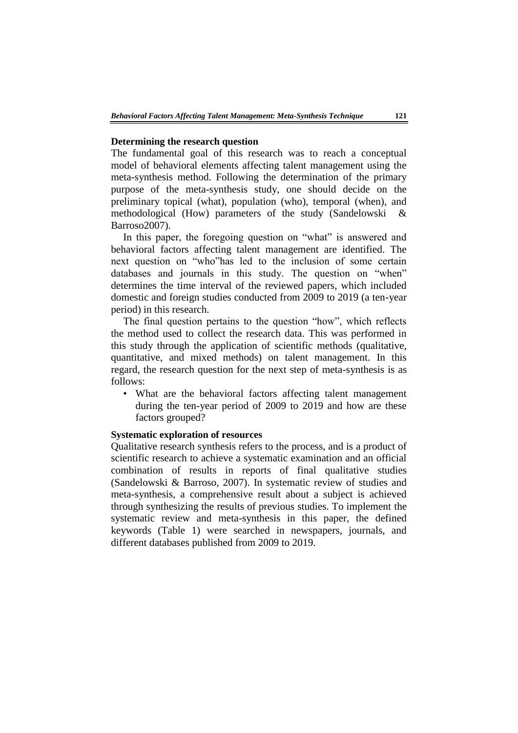#### **Determining the research question**

The fundamental goal of this research was to reach a conceptual model of behavioral elements affecting talent management using the meta-synthesis method. Following the determination of the primary purpose of the meta-synthesis study, one should decide on the preliminary topical (what), population (who), temporal (when), and methodological (How) parameters of the study (Sandelowski & Barroso2007).

In this paper, the foregoing question on "what" is answered and behavioral factors affecting talent management are identified. The next question on "who"has led to the inclusion of some certain databases and journals in this study. The question on "when" determines the time interval of the reviewed papers, which included domestic and foreign studies conducted from 2009 to 2019 (a ten-year period) in this research.

The final question pertains to the question "how", which reflects the method used to collect the research data. This was performed in this study through the application of scientific methods (qualitative, quantitative, and mixed methods) on talent management. In this regard, the research question for the next step of meta-synthesis is as follows:

• What are the behavioral factors affecting talent management during the ten-year period of 2009 to 2019 and how are these factors grouped?

# **Systematic exploration of resources**

Qualitative research synthesis refers to the process, and is a product of scientific research to achieve a systematic examination and an official combination of results in reports of final qualitative studies (Sandelowski & Barroso, 2007). In systematic review of studies and meta-synthesis, a comprehensive result about a subject is achieved through synthesizing the results of previous studies. To implement the systematic review and meta-synthesis in this paper, the defined keywords (Table 1) were searched in newspapers, journals, and different databases published from 2009 to 2019.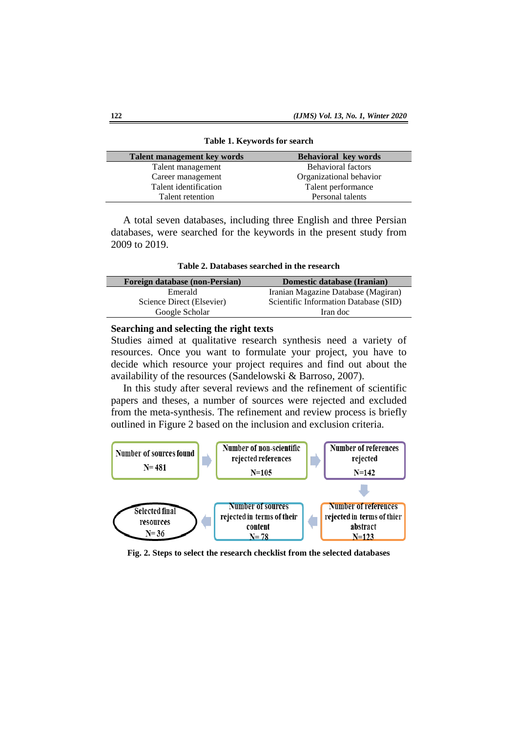| Talent management key words | <b>Behavioral key words</b> |
|-----------------------------|-----------------------------|
| Talent management           | <b>Behavioral factors</b>   |
| Career management           | Organizational behavior     |
| Talent identification       | Talent performance          |
| Talent retention            | Personal talents            |

**Table 1. Keywords for search**

A total seven databases, including three English and three Persian databases, were searched for the keywords in the present study from 2009 to 2019.

| Table 2. Databases searched in the research |  |
|---------------------------------------------|--|
|---------------------------------------------|--|

| Foreign database (non-Persian) | <b>Domestic database (Iranian)</b>    |
|--------------------------------|---------------------------------------|
| Emerald                        | Iranian Magazine Database (Magiran)   |
| Science Direct (Elsevier)      | Scientific Information Database (SID) |
| Google Scholar                 | Iran doc                              |

# **Searching and selecting the right texts**

Studies aimed at qualitative research synthesis need a variety of resources. Once you want to formulate your project, you have to decide which resource your project requires and find out about the availability of the resources (Sandelowski & Barroso, 2007).

In this study after several reviews and the refinement of scientific papers and theses, a number of sources were rejected and excluded from the meta-synthesis. The refinement and review process is briefly outlined in Figure 2 based on the inclusion and exclusion criteria.



**Fig. 2. Steps to select the research checklist from the selected databases**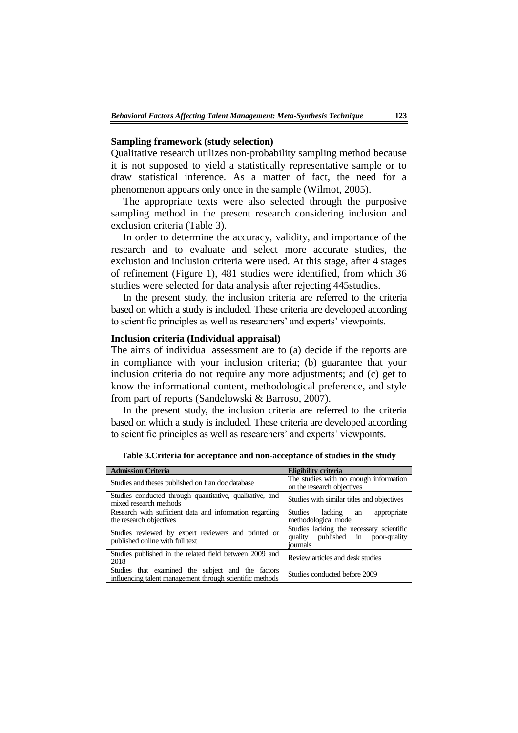#### **Sampling framework (study selection)**

Qualitative research utilizes non-probability sampling method because it is not supposed to yield a statistically representative sample or to draw statistical inference. As a matter of fact, the need for a phenomenon appears only once in the sample (Wilmot, 2005).

The appropriate texts were also selected through the purposive sampling method in the present research considering inclusion and exclusion criteria (Table 3).

In order to determine the accuracy, validity, and importance of the research and to evaluate and select more accurate studies, the exclusion and inclusion criteria were used. At this stage, after 4 stages of refinement (Figure 1), 481 studies were identified, from which 36 studies were selected for data analysis after rejecting 445studies.

In the present study, the inclusion criteria are referred to the criteria based on which a study is included. These criteria are developed according to scientific principles as well as researchers' and experts' viewpoints.

## **Inclusion criteria (Individual appraisal)**

The aims of individual assessment are to (a) decide if the reports are in compliance with your inclusion criteria; (b) guarantee that your inclusion criteria do not require any more adjustments; and (c) get to know the informational content, methodological preference, and style from part of reports (Sandelowski & Barroso, 2007).

In the present study, the inclusion criteria are referred to the criteria based on which a study is included. These criteria are developed according to scientific principles as well as researchers' and experts' viewpoints.

| <b>Admission Criteria</b>                                                                                     | <b>Eligibility criteria</b>                                                                  |
|---------------------------------------------------------------------------------------------------------------|----------------------------------------------------------------------------------------------|
| Studies and theses published on Iran doc database                                                             | The studies with no enough information<br>on the research objectives                         |
| Studies conducted through quantitative, qualitative, and<br>mixed research methods                            | Studies with similar titles and objectives                                                   |
| Research with sufficient data and information regarding<br>the research objectives                            | appropriate<br><b>Studies</b><br>lacking<br>an<br>methodological model                       |
| Studies reviewed by expert reviewers and printed or<br>published online with full text                        | Studies lacking the necessary scientific<br>published in poor-quality<br>quality<br>iournals |
| Studies published in the related field between 2009 and<br>2018                                               | Review articles and desk studies                                                             |
| Studies that examined the subject and the factors<br>influencing talent management through scientific methods | Studies conducted before 2009                                                                |

**Table 3.Criteria for acceptance and non-acceptance of studies in the study**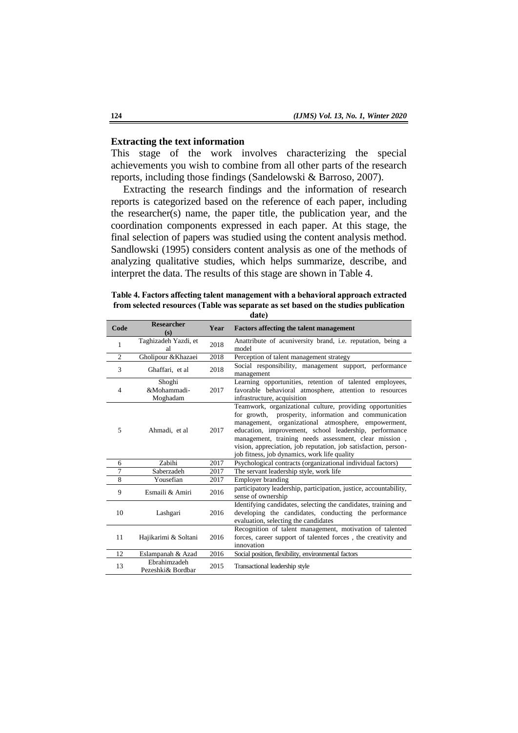## **Extracting the text information**

This stage of the work involves characterizing the special achievements you wish to combine from all other parts of the research reports, including those findings (Sandelowski & Barroso, 2007).

Extracting the research findings and the information of research reports is categorized based on the reference of each paper, including the researcher(s) name, the paper title, the publication year, and the coordination components expressed in each paper. At this stage, the final selection of papers was studied using the content analysis method. Sandlowski (1995) considers content analysis as one of the methods of analyzing qualitative studies, which helps summarize, describe, and interpret the data. The results of this stage are shown in Table 4.

**Table 4. Factors affecting talent management with a behavioral approach extracted from selected resources (Table was separate as set based on the studies publication date)**

| uato)          |                                   |      |                                                                                                                                                                                                                                                                                                                                                                                                                    |
|----------------|-----------------------------------|------|--------------------------------------------------------------------------------------------------------------------------------------------------------------------------------------------------------------------------------------------------------------------------------------------------------------------------------------------------------------------------------------------------------------------|
| Code           | <b>Researcher</b><br>(s)          | Year | <b>Factors affecting the talent management</b>                                                                                                                                                                                                                                                                                                                                                                     |
| 1              | Taghizadeh Yazdi, et<br>al        | 2018 | Anattribute of acuniversity brand, i.e. reputation, being a<br>model                                                                                                                                                                                                                                                                                                                                               |
| $\mathfrak{D}$ | Gholipour & Khazaei               | 2018 | Perception of talent management strategy                                                                                                                                                                                                                                                                                                                                                                           |
| 3              | Ghaffari, et al                   | 2018 | Social responsibility, management support, performance<br>management                                                                                                                                                                                                                                                                                                                                               |
| $\overline{4}$ | Shoghi<br>&Mohammadi-<br>Moghadam | 2017 | Learning opportunities, retention of talented employees,<br>favorable behavioral atmosphere, attention to resources<br>infrastructure, acquisition                                                                                                                                                                                                                                                                 |
| 5              | Ahmadi, et al                     | 2017 | Teamwork, organizational culture, providing opportunities<br>prosperity, information and communication<br>for growth.<br>management, organizational atmosphere, empowerment,<br>education, improvement, school leadership, performance<br>management, training needs assessment, clear mission,<br>vision, appreciation, job reputation, job satisfaction, person-<br>job fitness, job dynamics, work life quality |
| 6              | Zabihi                            | 2017 | Psychological contracts (organizational individual factors)                                                                                                                                                                                                                                                                                                                                                        |
| 7              | Saberzadeh                        | 2017 | The servant leadership style, work life                                                                                                                                                                                                                                                                                                                                                                            |
| 8              | Yousefian                         | 2017 | <b>Employer branding</b>                                                                                                                                                                                                                                                                                                                                                                                           |
| 9              | Esmaili & Amiri                   | 2016 | participatory leadership, participation, justice, accountability,<br>sense of ownership                                                                                                                                                                                                                                                                                                                            |
| 10             | Lashgari                          | 2016 | Identifying candidates, selecting the candidates, training and<br>developing the candidates, conducting the performance<br>evaluation, selecting the candidates                                                                                                                                                                                                                                                    |
| 11             | Hajikarimi & Soltani              | 2016 | Recognition of talent management, motivation of talented<br>forces, career support of talented forces, the creativity and<br>innovation                                                                                                                                                                                                                                                                            |
| 12             | Eslampanah & Azad                 | 2016 | Social position, flexibility, environmental factors                                                                                                                                                                                                                                                                                                                                                                |
| 13             | Ebrahimzadeh<br>Pezeshki& Bordbar | 2015 | Transactional leadership style                                                                                                                                                                                                                                                                                                                                                                                     |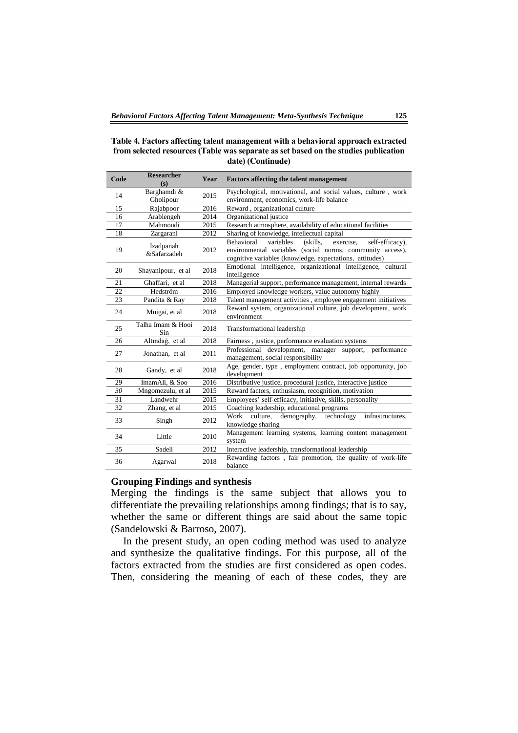#### **Table 4. Factors affecting talent management with a behavioral approach extracted from selected resources (Table was separate as set based on the studies publication date) (Continude)**

| Code | <b>Researcher</b><br>(s) | Year | <b>Factors affecting the talent management</b>                                                                                                                                                      |
|------|--------------------------|------|-----------------------------------------------------------------------------------------------------------------------------------------------------------------------------------------------------|
| 14   | Barghamdi &<br>Gholipour | 2015 | Psychological, motivational, and social values, culture, work<br>environment, economics, work-life balance                                                                                          |
| 15   | Rajabpoor                | 2016 | Reward, organizational culture                                                                                                                                                                      |
| 16   | Arablengeh               | 2014 | Organizational justice                                                                                                                                                                              |
| 17   | Mahmoudi                 | 2015 | Research atmosphere, availability of educational facilities                                                                                                                                         |
| 18   | Zargarani                | 2012 | Sharing of knowledge, intellectual capital                                                                                                                                                          |
| 19   | Izadpanah<br>&Safarzadeh | 2012 | (skills.<br><b>Behavioral</b><br>variables<br>exercise.<br>self-efficacy),<br>environmental variables (social norms, community access),<br>cognitive variables (knowledge, expectations, attitudes) |
| 20   | Shayanipour, et al       | 2018 | Emotional intelligence, organizational intelligence, cultural<br>intelligence                                                                                                                       |
| 21   | Ghaffari, et al          | 2018 | Managerial support, performance management, internal rewards                                                                                                                                        |
| 22   | Hedström                 | 2016 | Employed knowledge workers, value autonomy highly                                                                                                                                                   |
| 23   | Pandita & Ray            | 2018 | Talent management activities, employee engagement initiatives                                                                                                                                       |
| 24   | Muigai, et al            | 2018 | Reward system, organizational culture, job development, work<br>environment                                                                                                                         |
| 25   | Talha Imam & Hooi<br>Sin | 2018 | Transformational leadership                                                                                                                                                                         |
| 26   | Altındağ, et al          | 2018 | Fairness, justice, performance evaluation systems                                                                                                                                                   |
| 27   | Jonathan, et al          | 2011 | Professional development, manager support,<br>performance<br>management, social responsibility                                                                                                      |
| 28   | Gandy, et al             | 2018 | Age, gender, type, employment contract, job opportunity, job<br>development                                                                                                                         |
| 29   | ImamAli, & Soo           | 2016 | Distributive justice, procedural justice, interactive justice                                                                                                                                       |
| 30   | Mngomezulu, et al        | 2015 | Reward factors, enthusiasm, recognition, motivation                                                                                                                                                 |
| 31   | Landwehr                 | 2015 | Employees' self-efficacy, initiative, skills, personality                                                                                                                                           |
| 32   | Zhang, et al.            | 2015 | Coaching leadership, educational programs                                                                                                                                                           |
| 33   | Singh                    | 2012 | Work<br>culture.<br>demography,<br>technology<br>infrastructures.<br>knowledge sharing                                                                                                              |
| 34   | Little                   | 2010 | Management learning systems, learning content management<br>system                                                                                                                                  |
| 35   | Sadeli                   | 2012 | Interactive leadership, transformational leadership                                                                                                                                                 |
| 36   | Agarwal                  | 2018 | Rewarding factors, fair promotion, the quality of work-life<br>balance                                                                                                                              |

## **Grouping Findings and synthesis**

Merging the findings is the same subject that allows you to differentiate the prevailing relationships among findings; that is to say, whether the same or different things are said about the same topic (Sandelowski & Barroso, 2007).

In the present study, an open coding method was used to analyze and synthesize the qualitative findings. For this purpose, all of the factors extracted from the studies are first considered as open codes. Then, considering the meaning of each of these codes, they are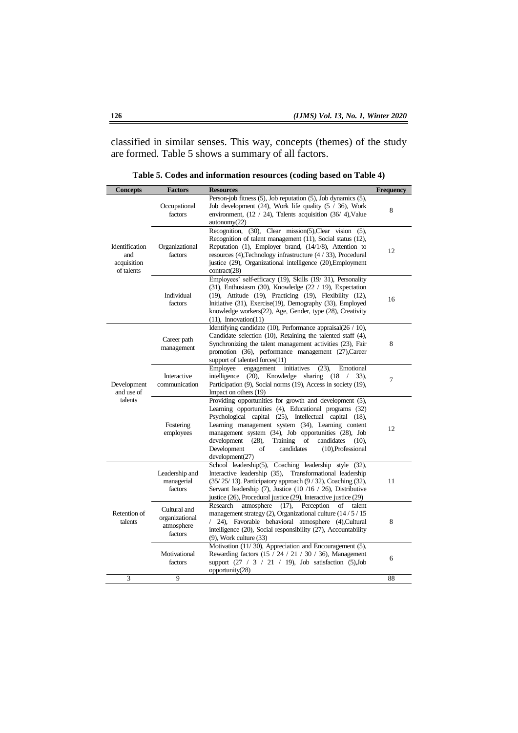classified in similar senses. This way, concepts (themes) of the study are formed. Table 5 shows a summary of all factors.

| Person-job fitness (5), Job reputation (5), Job dynamics (5),<br>Job development $(24)$ , Work life quality $(5 / 36)$ , Work<br>Occupational<br>8<br>factors<br>environment, $(12 / 24)$ , Talents acquisition $(36 / 4)$ , Value<br>autonomy(22)<br>Recognition, (30), Clear mission(5), Clear vision (5),<br>Recognition of talent management (11), Social status (12),<br>Reputation (1), Employer brand, (14/1/8), Attention to<br>Identification<br>Organizational<br>12<br>factors<br>resources (4), Technology infrastructure (4 / 33), Procedural<br>and<br>acquisition<br>justice (29), Organizational intelligence (20), Employment<br>of talents<br>contract(28)<br>Employees' self-efficacy (19), Skills (19/31), Personality<br>(31), Enthusiasm (30), Knowledge (22 / 19), Expectation<br>Individual<br>(19), Attitude (19), Practicing (19), Flexibility (12),<br>16<br>Initiative (31), Exercise(19), Demography (33), Employed<br>factors<br>knowledge workers(22), Age, Gender, type (28), Creativity<br>$(11)$ , Innovation $(11)$<br>Identifying candidate $(10)$ , Performance appraisal $(26 / 10)$ ,<br>Candidate selection (10), Retaining the talented staff (4),<br>Career path<br>Synchronizing the talent management activities (23), Fair<br>8<br>management<br>promotion (36), performance management (27), Career<br>support of talented forces(11)<br>Employee<br>engagement<br>initiatives<br>$(23)$ ,<br>Emotional<br>Interactive<br>intelligence $(20)$ ,<br>Knowledge sharing (18 /<br>33),<br>7<br>Participation (9), Social norms (19), Access in society (19),<br>Development<br>communication<br>and use of<br>Impact on others (19)<br>Providing opportunities for growth and development (5),<br>talents<br>Learning opportunities (4), Educational programs (32)<br>Psychological capital (25), Intellectual capital (18),<br>Fostering<br>Learning management system (34), Learning content<br>12<br>employees<br>management system (34), Job opportunities (28), Job<br>development<br>$(28)$ ,<br>Training<br>of<br>candidates<br>$(10)$ .<br>Development<br>of<br>candidates<br>$(10)$ , Professional<br>development(27)<br>School leadership(5), Coaching leadership style (32),<br>Leadership and<br>Interactive leadership (35), Transformational leadership<br>managerial<br>(35/25/13). Participatory approach (9/32), Coaching (32),<br>11<br>Servant leadership (7), Justice (10 /16 / 26), Distributive<br>factors<br>justice (26), Procedural justice (29), Interactive justice (29)<br>Research<br>atmosphere<br>(17),<br>Perception<br>of<br>talent<br>Cultural and<br>Retention of<br>management strategy (2), Organizational culture $(14/5/15)$<br>organizational<br>24), Favorable behavioral atmosphere (4), Cultural<br>8<br>talents<br>atmosphere<br>intelligence (20), Social responsibility (27), Accountability<br>factors<br>$(9)$ , Work culture $(33)$<br>Motivation (11/30), Appreciation and Encouragement (5),<br>Rewarding factors $(15 / 24 / 21 / 30 / 36)$ , Management<br>Motivational<br>6<br>factors<br>support $(27 / 3 / 21 / 19)$ , Job satisfaction $(5)$ , Job<br>opportunity(28)<br>9<br>3<br>88 | <b>Concepts</b> | <b>Factors</b> | <b>Resources</b> | <b>Frequency</b> |
|------------------------------------------------------------------------------------------------------------------------------------------------------------------------------------------------------------------------------------------------------------------------------------------------------------------------------------------------------------------------------------------------------------------------------------------------------------------------------------------------------------------------------------------------------------------------------------------------------------------------------------------------------------------------------------------------------------------------------------------------------------------------------------------------------------------------------------------------------------------------------------------------------------------------------------------------------------------------------------------------------------------------------------------------------------------------------------------------------------------------------------------------------------------------------------------------------------------------------------------------------------------------------------------------------------------------------------------------------------------------------------------------------------------------------------------------------------------------------------------------------------------------------------------------------------------------------------------------------------------------------------------------------------------------------------------------------------------------------------------------------------------------------------------------------------------------------------------------------------------------------------------------------------------------------------------------------------------------------------------------------------------------------------------------------------------------------------------------------------------------------------------------------------------------------------------------------------------------------------------------------------------------------------------------------------------------------------------------------------------------------------------------------------------------------------------------------------------------------------------------------------------------------------------------------------------------------------------------------------------------------------------------------------------------------------------------------------------------------------------------------------------------------------------------------------------------------------------------------------------------------------------------------------------------------------------------------------------------------------------------------------------------------------------------------------------------------------------------------------------------------------------------------------------------------------------|-----------------|----------------|------------------|------------------|
|                                                                                                                                                                                                                                                                                                                                                                                                                                                                                                                                                                                                                                                                                                                                                                                                                                                                                                                                                                                                                                                                                                                                                                                                                                                                                                                                                                                                                                                                                                                                                                                                                                                                                                                                                                                                                                                                                                                                                                                                                                                                                                                                                                                                                                                                                                                                                                                                                                                                                                                                                                                                                                                                                                                                                                                                                                                                                                                                                                                                                                                                                                                                                                                          |                 |                |                  |                  |
|                                                                                                                                                                                                                                                                                                                                                                                                                                                                                                                                                                                                                                                                                                                                                                                                                                                                                                                                                                                                                                                                                                                                                                                                                                                                                                                                                                                                                                                                                                                                                                                                                                                                                                                                                                                                                                                                                                                                                                                                                                                                                                                                                                                                                                                                                                                                                                                                                                                                                                                                                                                                                                                                                                                                                                                                                                                                                                                                                                                                                                                                                                                                                                                          |                 |                |                  |                  |
|                                                                                                                                                                                                                                                                                                                                                                                                                                                                                                                                                                                                                                                                                                                                                                                                                                                                                                                                                                                                                                                                                                                                                                                                                                                                                                                                                                                                                                                                                                                                                                                                                                                                                                                                                                                                                                                                                                                                                                                                                                                                                                                                                                                                                                                                                                                                                                                                                                                                                                                                                                                                                                                                                                                                                                                                                                                                                                                                                                                                                                                                                                                                                                                          |                 |                |                  |                  |
|                                                                                                                                                                                                                                                                                                                                                                                                                                                                                                                                                                                                                                                                                                                                                                                                                                                                                                                                                                                                                                                                                                                                                                                                                                                                                                                                                                                                                                                                                                                                                                                                                                                                                                                                                                                                                                                                                                                                                                                                                                                                                                                                                                                                                                                                                                                                                                                                                                                                                                                                                                                                                                                                                                                                                                                                                                                                                                                                                                                                                                                                                                                                                                                          |                 |                |                  |                  |
|                                                                                                                                                                                                                                                                                                                                                                                                                                                                                                                                                                                                                                                                                                                                                                                                                                                                                                                                                                                                                                                                                                                                                                                                                                                                                                                                                                                                                                                                                                                                                                                                                                                                                                                                                                                                                                                                                                                                                                                                                                                                                                                                                                                                                                                                                                                                                                                                                                                                                                                                                                                                                                                                                                                                                                                                                                                                                                                                                                                                                                                                                                                                                                                          |                 |                |                  |                  |
|                                                                                                                                                                                                                                                                                                                                                                                                                                                                                                                                                                                                                                                                                                                                                                                                                                                                                                                                                                                                                                                                                                                                                                                                                                                                                                                                                                                                                                                                                                                                                                                                                                                                                                                                                                                                                                                                                                                                                                                                                                                                                                                                                                                                                                                                                                                                                                                                                                                                                                                                                                                                                                                                                                                                                                                                                                                                                                                                                                                                                                                                                                                                                                                          |                 |                |                  |                  |
|                                                                                                                                                                                                                                                                                                                                                                                                                                                                                                                                                                                                                                                                                                                                                                                                                                                                                                                                                                                                                                                                                                                                                                                                                                                                                                                                                                                                                                                                                                                                                                                                                                                                                                                                                                                                                                                                                                                                                                                                                                                                                                                                                                                                                                                                                                                                                                                                                                                                                                                                                                                                                                                                                                                                                                                                                                                                                                                                                                                                                                                                                                                                                                                          |                 |                |                  |                  |
|                                                                                                                                                                                                                                                                                                                                                                                                                                                                                                                                                                                                                                                                                                                                                                                                                                                                                                                                                                                                                                                                                                                                                                                                                                                                                                                                                                                                                                                                                                                                                                                                                                                                                                                                                                                                                                                                                                                                                                                                                                                                                                                                                                                                                                                                                                                                                                                                                                                                                                                                                                                                                                                                                                                                                                                                                                                                                                                                                                                                                                                                                                                                                                                          |                 |                |                  |                  |
|                                                                                                                                                                                                                                                                                                                                                                                                                                                                                                                                                                                                                                                                                                                                                                                                                                                                                                                                                                                                                                                                                                                                                                                                                                                                                                                                                                                                                                                                                                                                                                                                                                                                                                                                                                                                                                                                                                                                                                                                                                                                                                                                                                                                                                                                                                                                                                                                                                                                                                                                                                                                                                                                                                                                                                                                                                                                                                                                                                                                                                                                                                                                                                                          |                 |                |                  |                  |
|                                                                                                                                                                                                                                                                                                                                                                                                                                                                                                                                                                                                                                                                                                                                                                                                                                                                                                                                                                                                                                                                                                                                                                                                                                                                                                                                                                                                                                                                                                                                                                                                                                                                                                                                                                                                                                                                                                                                                                                                                                                                                                                                                                                                                                                                                                                                                                                                                                                                                                                                                                                                                                                                                                                                                                                                                                                                                                                                                                                                                                                                                                                                                                                          |                 |                |                  |                  |

| Table 5. Codes and information resources (coding based on Table 4) |  |
|--------------------------------------------------------------------|--|
|--------------------------------------------------------------------|--|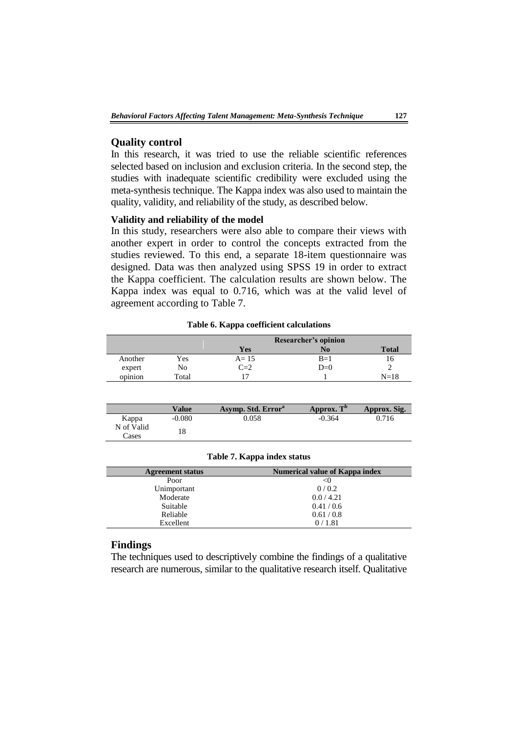# **Quality control**

In this research, it was tried to use the reliable scientific references selected based on inclusion and exclusion criteria. In the second step, the studies with inadequate scientific credibility were excluded using the meta-synthesis technique. The Kappa index was also used to maintain the quality, validity, and reliability of the study, as described below.

# **Validity and reliability of the model**

In this study, researchers were also able to compare their views with another expert in order to control the concepts extracted from the studies reviewed. To this end, a separate 18-item questionnaire was designed. Data was then analyzed using SPSS 19 in order to extract the Kappa coefficient. The calculation results are shown below. The Kappa index was equal to 0.716, which was at the valid level of agreement according to Table 7.

**Table 6. Kappa coefficient calculations**

|                            |       |          | Researcher's opinion |              |
|----------------------------|-------|----------|----------------------|--------------|
|                            |       | Yes      | No                   | <b>Total</b> |
| Another                    | Yes   | $A = 15$ | $B=1$                | 10.          |
| expert                     | No    | $C=2$    | $D=0$                |              |
| $\cdot$ $\cdot$<br>opinion | Total |          |                      | $N=18$       |

|                     | Value    | Asymp. Std. Error <sup>a</sup> | Approx. $Tb$ | Approx. Sig. |
|---------------------|----------|--------------------------------|--------------|--------------|
| Kappa               | $-0.080$ | 0.058                          | $-0.364$     | 0.716        |
| N of Valid<br>Cases | 18       |                                |              |              |

| Table 7. Kappa index status |  |  |  |
|-----------------------------|--|--|--|
|-----------------------------|--|--|--|

| <b>Agreement status</b> | <b>Numerical value of Kappa index</b> |
|-------------------------|---------------------------------------|
| Poor                    | <0                                    |
| Unimportant             | 0/0.2                                 |
| Moderate                | 0.0 / 4.21                            |
| Suitable                | 0.41/0.6                              |
| Reliable                | 0.61/0.8                              |
| Excellent               | 0/1.81                                |

#### **Findings**

The techniques used to descriptively combine the findings of a qualitative research are numerous, similar to the qualitative research itself. Qualitative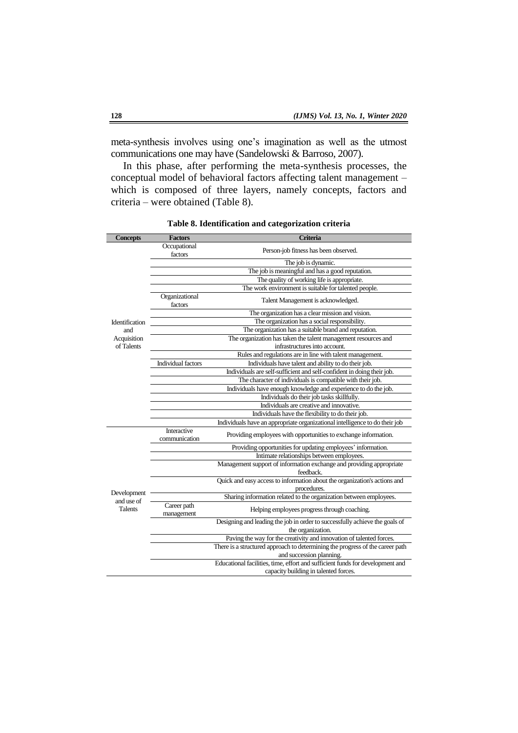meta-synthesis involves using one's imagination as well as the utmost communications one may have (Sandelowski & Barroso, 2007).

In this phase, after performing the meta-synthesis processes, the conceptual model of behavioral factors affecting talent management – which is composed of three layers, namely concepts, factors and criteria – were obtained (Table 8).

| <b>Concepts</b>                             | <b>Factors</b>               | Criteria                                                                                                  |
|---------------------------------------------|------------------------------|-----------------------------------------------------------------------------------------------------------|
| <b>Identification</b>                       | Occupational<br>factors      | Person-job fitness has been observed.                                                                     |
|                                             |                              | The job is dynamic.                                                                                       |
|                                             |                              | The job is meaningful and has a good reputation.                                                          |
|                                             |                              | The quality of working life is appropriate.                                                               |
|                                             |                              | The work environment is suitable for talented people.                                                     |
|                                             | Organizational<br>factors    | Talent Management is acknowledged.                                                                        |
|                                             |                              | The organization has a clear mission and vision.                                                          |
|                                             |                              | The organization has a social responsibility.                                                             |
| and                                         |                              | The organization has a suitable brand and reputation.                                                     |
| Acquisition<br>of Talents                   |                              | The organization has taken the talent management resources and                                            |
|                                             |                              | infrastructures into account.                                                                             |
|                                             |                              | Rules and regulations are in line with talent management.                                                 |
|                                             | <b>Individual</b> factors    | Individuals have talent and ability to do their job.                                                      |
|                                             |                              | Individuals are self-sufficient and self-confident in doing their job.                                    |
|                                             |                              | The character of individuals is compatible with their job.                                                |
|                                             |                              | Individuals have enough knowledge and experience to do the job.                                           |
|                                             |                              | Individuals do their job tasks skillfully.                                                                |
|                                             |                              | Individuals are creative and innovative.                                                                  |
|                                             |                              | Individuals have the flexibility to do their job.                                                         |
|                                             |                              | Individuals have an appropriate organizational intelligence to do their job                               |
|                                             | Interactive<br>communication | Providing employees with opportunities to exchange information.                                           |
| Development<br>and use of<br><b>Talents</b> |                              | Providing opportunities for updating employees' information.                                              |
|                                             |                              | Intimate relationships between employees.                                                                 |
|                                             |                              | Management support of information exchange and providing appropriate<br>feedback.                         |
|                                             |                              | Quick and easy access to information about the organization's actions and<br>procedures.                  |
|                                             |                              | Sharing information related to the organization between employees.                                        |
|                                             | Career path                  | Helping employees progress through coaching.                                                              |
|                                             | management                   |                                                                                                           |
|                                             |                              | Designing and leading the job in order to successfully achieve the goals of                               |
|                                             |                              | the organization.                                                                                         |
|                                             |                              | Paving the way for the creativity and innovation of talented forces.                                      |
|                                             |                              | There is a structured approach to determining the progress of the career path<br>and succession planning. |
|                                             |                              | Educational facilities, time, effort and sufficient funds for development and                             |
|                                             |                              | capacity building in talented forces.                                                                     |
|                                             |                              |                                                                                                           |

**Table 8. Identification and categorization criteria**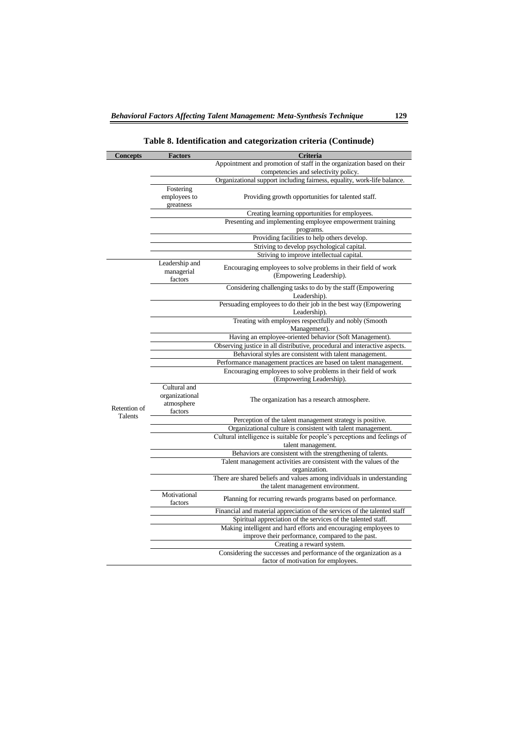| <b>Concepts</b>         | Factors                                                 | <b>Criteria</b>                                                                                           |
|-------------------------|---------------------------------------------------------|-----------------------------------------------------------------------------------------------------------|
|                         |                                                         | Appointment and promotion of staff in the organization based on their                                     |
|                         |                                                         | competencies and selectivity policy.                                                                      |
|                         |                                                         | Organizational support including fairness, equality, work-life balance.                                   |
|                         | Fostering                                               |                                                                                                           |
|                         | employees to                                            | Providing growth opportunities for talented staff.                                                        |
|                         | greatness                                               |                                                                                                           |
|                         |                                                         | Creating learning opportunities for employees.                                                            |
|                         |                                                         | Presenting and implementing employee empowerment training                                                 |
|                         |                                                         | programs.                                                                                                 |
|                         |                                                         | Providing facilities to help others develop.                                                              |
|                         |                                                         | Striving to develop psychological capital.                                                                |
|                         |                                                         |                                                                                                           |
|                         |                                                         | Striving to improve intellectual capital.                                                                 |
|                         | Leadership and<br>managerial<br>factors                 | Encouraging employees to solve problems in their field of work<br>(Empowering Leadership).                |
|                         |                                                         | Considering challenging tasks to do by the staff (Empowering)                                             |
|                         |                                                         | Leadership).                                                                                              |
|                         |                                                         | Persuading employees to do their job in the best way (Empowering<br>Leadership).                          |
|                         |                                                         | Treating with employees respectfully and nobly (Smooth                                                    |
|                         |                                                         | Management).                                                                                              |
|                         |                                                         | Having an employee-oriented behavior (Soft Management).                                                   |
|                         |                                                         |                                                                                                           |
|                         |                                                         | Observing justice in all distributive, procedural and interactive aspects.                                |
|                         |                                                         | Behavioral styles are consistent with talent management.                                                  |
|                         |                                                         | Performance management practices are based on talent management.                                          |
|                         |                                                         | Encouraging employees to solve problems in their field of work                                            |
|                         |                                                         | (Empowering Leadership).                                                                                  |
| Retention of<br>Talents | Cultural and<br>organizational<br>atmosphere<br>factors | The organization has a research atmosphere.                                                               |
|                         |                                                         | Perception of the talent management strategy is positive.                                                 |
|                         |                                                         | Organizational culture is consistent with talent management.                                              |
|                         |                                                         | Cultural intelligence is suitable for people's perceptions and feelings of<br>talent management.          |
|                         |                                                         | Behaviors are consistent with the strengthening of talents.                                               |
|                         |                                                         | Talent management activities are consistent with the values of the<br>organization.                       |
|                         |                                                         | There are shared beliefs and values among individuals in understanding                                    |
|                         |                                                         | the talent management environment.                                                                        |
|                         | Motivational<br>factors                                 | Planning for recurring rewards programs based on performance.                                             |
|                         |                                                         | Financial and material appreciation of the services of the talented staff                                 |
|                         |                                                         | Spiritual appreciation of the services of the talented staff.                                             |
|                         |                                                         | Making intelligent and hard efforts and encouraging employees to                                          |
|                         |                                                         |                                                                                                           |
|                         |                                                         | improve their performance, compared to the past.                                                          |
|                         |                                                         | Creating a reward system.                                                                                 |
|                         |                                                         | Considering the successes and performance of the organization as a<br>factor of motivation for employees. |

# **Table 8. Identification and categorization criteria (Continude)**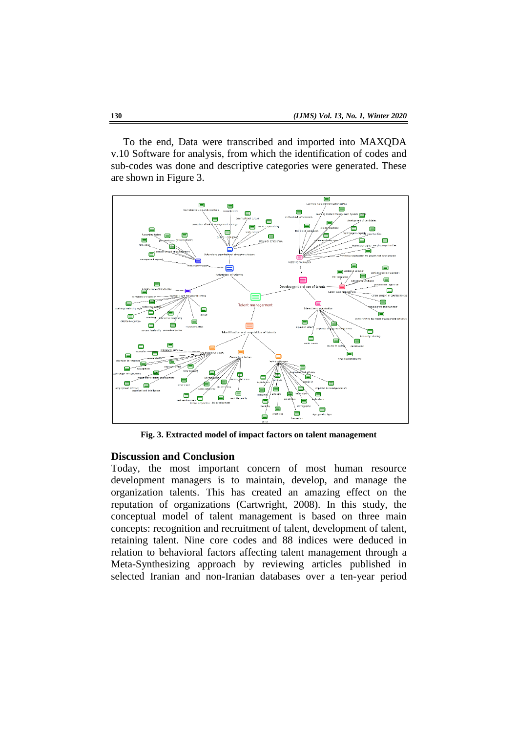To the end, Data were transcribed and imported into MAXQDA v.10 Software for analysis, from which the identification of codes and sub-codes was done and descriptive categories were generated. These are shown in Figure 3.



**Fig. 3. Extracted model of impact factors on talent management**

# **Discussion and Conclusion**

Today, the most important concern of most human resource development managers is to maintain, develop, and manage the organization talents. This has created an amazing effect on the reputation of organizations (Cartwright, 2008). In this study, the conceptual model of talent management is based on three main concepts: recognition and recruitment of talent, development of talent, retaining talent. Nine core codes and 88 indices were deduced in relation to behavioral factors affecting talent management through a Meta-Synthesizing approach by reviewing articles published in selected Iranian and non-Iranian databases over a ten-year period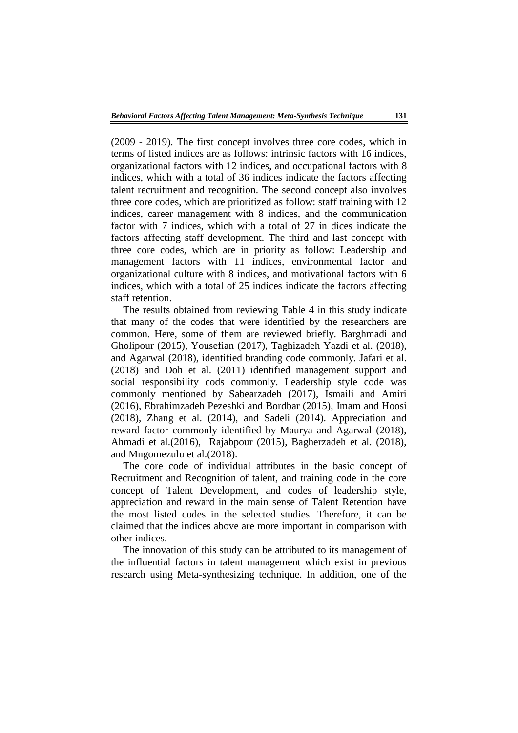(2009 - 2019). The first concept involves three core codes, which in terms of listed indices are as follows: intrinsic factors with 16 indices, organizational factors with 12 indices, and occupational factors with 8 indices, which with a total of 36 indices indicate the factors affecting talent recruitment and recognition. The second concept also involves three core codes, which are prioritized as follow: staff training with 12 indices, career management with 8 indices, and the communication factor with 7 indices, which with a total of 27 in dices indicate the factors affecting staff development. The third and last concept with three core codes, which are in priority as follow: Leadership and management factors with 11 indices, environmental factor and organizational culture with 8 indices, and motivational factors with 6 indices, which with a total of 25 indices indicate the factors affecting staff retention.

The results obtained from reviewing Table 4 in this study indicate that many of the codes that were identified by the researchers are common. Here, some of them are reviewed briefly. Barghmadi and Gholipour (2015), Yousefian (2017), Taghizadeh Yazdi et al. (2018), and Agarwal (2018), identified branding code commonly. Jafari et al. (2018) and Doh et al. (2011) identified management support and social responsibility cods commonly. Leadership style code was commonly mentioned by Sabearzadeh (2017), Ismaili and Amiri (2016), Ebrahimzadeh Pezeshki and Bordbar (2015), Imam and Hoosi (2018), Zhang et al. (2014), and Sadeli (2014). Appreciation and reward factor commonly identified by Maurya and Agarwal (2018), Ahmadi et al.(2016), Rajabpour (2015), Bagherzadeh et al. (2018), and Mngomezulu et al.(2018).

The core code of individual attributes in the basic concept of Recruitment and Recognition of talent, and training code in the core concept of Talent Development, and codes of leadership style, appreciation and reward in the main sense of Talent Retention have the most listed codes in the selected studies. Therefore, it can be claimed that the indices above are more important in comparison with other indices.

The innovation of this study can be attributed to its management of the influential factors in talent management which exist in previous research using Meta-synthesizing technique. In addition, one of the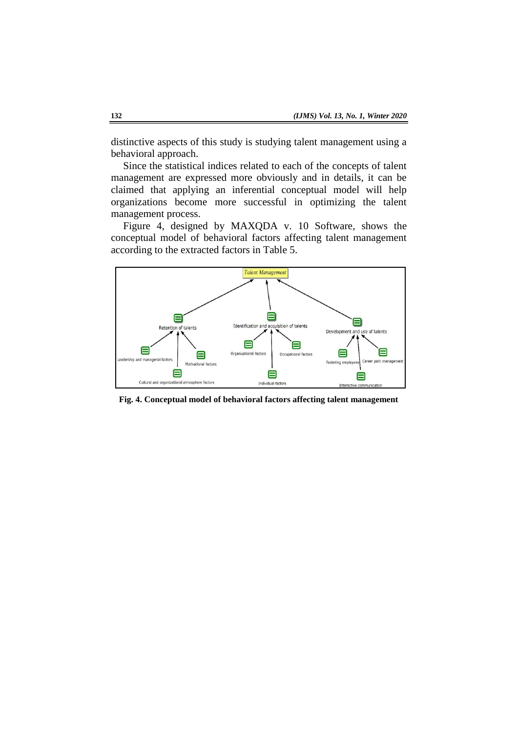distinctive aspects of this study is studying talent management using a behavioral approach.

Since the statistical indices related to each of the concepts of talent management are expressed more obviously and in details, it can be claimed that applying an inferential conceptual model will help organizations become more successful in optimizing the talent management process.

Figure 4, designed by MAXQDA v. 10 Software, shows the conceptual model of behavioral factors affecting talent management according to the extracted factors in Table 5.



**Fig. 4. Conceptual model of behavioral factors affecting talent management**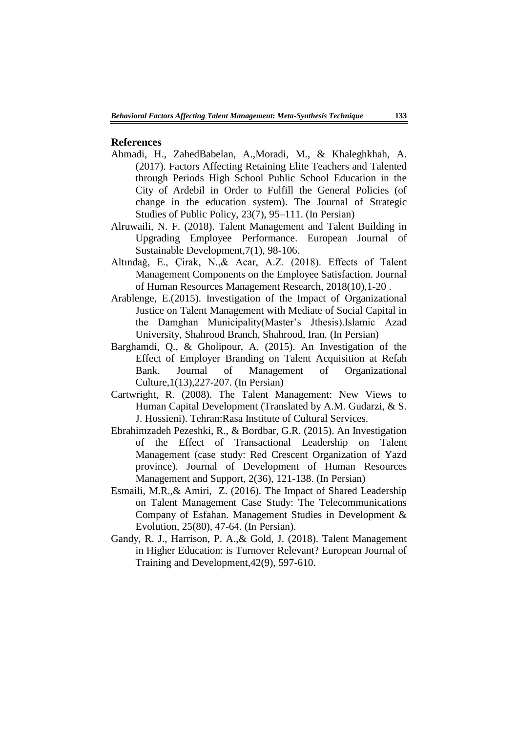## **References**

- Ahmadi, H., ZahedBabelan, A.,Moradi, M., & Khaleghkhah, A. (2017). Factors Affecting Retaining Elite Teachers and Talented through Periods High School Public School Education in the City of Ardebil in Order to Fulfill the General Policies (of change in the education system). The Journal of Strategic Studies of Public Policy, 23(7), 95–111. (In Persian)
- Alruwaili, N. F. (2018). Talent Management and Talent Building in Upgrading Employee Performance. European Journal of Sustainable Development,7(1), 98-106.
- Altındağ, E., Çirak, N.,& Acar, A.Z. (2018). Effects of Talent Management Components on the Employee Satisfaction. Journal of Human Resources Management Research, 2018(10),1-20 .
- Arablenge, E.(2015). Investigation of the Impact of Organizational Justice on Talent Management with Mediate of Social Capital in the Damghan Municipality(Master's Jthesis).Islamic Azad University, Shahrood Branch, Shahrood, Iran. (In Persian)
- Barghamdi, Q., & Gholipour, A. (2015). An Investigation of the Effect of Employer Branding on Talent Acquisition at Refah Bank. Journal of Management of Organizational Culture,1(13),227-207. (In Persian)
- Cartwright, R. (2008). The Talent Management: New Views to Human Capital Development (Translated by A.M. Gudarzi, & S. J. Hossieni). Tehran:Rasa Institute of Cultural Services.
- Ebrahimzadeh Pezeshki, R., & Bordbar, G.R. (2015). An Investigation of the Effect of Transactional Leadership on Talent Management (case study: Red Crescent Organization of Yazd province). Journal of Development of Human Resources Management and Support, 2(36), 121-138. (In Persian)
- Esmaili, M.R.,& Amiri, Z. (2016). The Impact of Shared Leadership on Talent Management Case Study: The Telecommunications Company of Esfahan. Management Studies in Development & Evolution, 25(80), 47-64. (In Persian).
- Gandy, R. J., Harrison, P. A.,& Gold, J. (2018). Talent Management in Higher Education: is Turnover Relevant? European Journal of Training and Development,42(9), 597-610.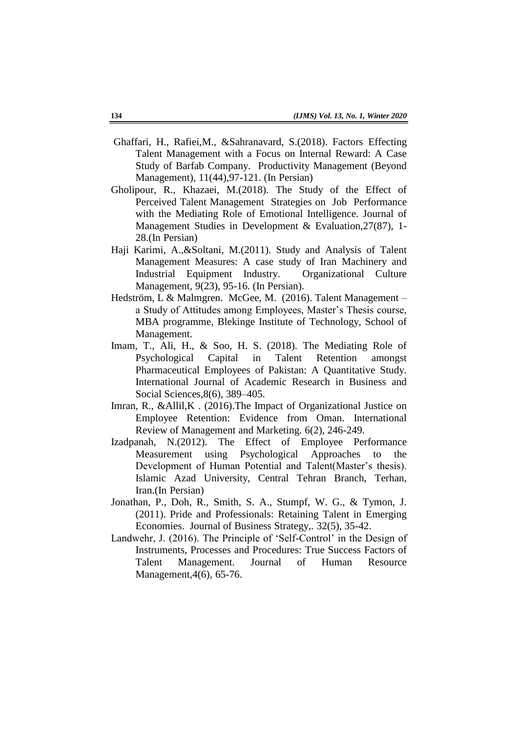- Ghaffari, H., Rafiei,M., &Sahranavard, S.(2018). Factors Effecting Talent Management with a Focus on Internal Reward: A Case Study of Barfab Company. Productivity Management (Beyond Management), 11(44),97-121. (In Persian)
- Gholipour, R., Khazaei, M.(2018). The Study of the Effect of Perceived Talent Management Strategies on Job Performance with the Mediating Role of Emotional Intelligence. Journal of Management Studies in Development & Evaluation,27(87), 1- 28.(In Persian)
- Haji Karimi, A.,&Soltani, M.(2011). Study and Analysis of Talent Management Measures: A case study of Iran Machinery and Industrial Equipment Industry. Organizational Culture Management, 9(23), 95-16. (In Persian).
- Hedström, L & Malmgren. McGee, M. (2016). Talent Management a Study of Attitudes among Employees, Master's Thesis course, MBA programme, Blekinge Institute of Technology, School of Management.
- Imam, T., Ali, H., & Soo, H. S. (2018). The Mediating Role of Psychological Capital in Talent Retention amongst Pharmaceutical Employees of Pakistan: A Quantitative Study. International Journal of Academic Research in Business and Social Sciences,8(6), 389–405.
- Imran, R., &Allil,K . (2016).The Impact of Organizational Justice on Employee Retention: Evidence from Oman. International Review of Management and Marketing. 6(2), 246-249.
- Izadpanah, N.(2012). The Effect of Employee Performance Measurement using Psychological Approaches to the Development of Human Potential and Talent(Master's thesis). Islamic Azad University, Central Tehran Branch, Terhan, Iran.(In Persian)
- Jonathan, P., Doh, R., Smith, S. A., Stumpf, W. G., & Tymon, J. (2011). Pride and Professionals: Retaining Talent in Emerging Economies. Journal of Business Strategy,. 32(5), 35-42.
- Landwehr, J. (2016). The Principle of 'Self-Control' in the Design of Instruments, Processes and Procedures: True Success Factors of Talent Management. Journal of Human Resource Management,4(6), 65-76.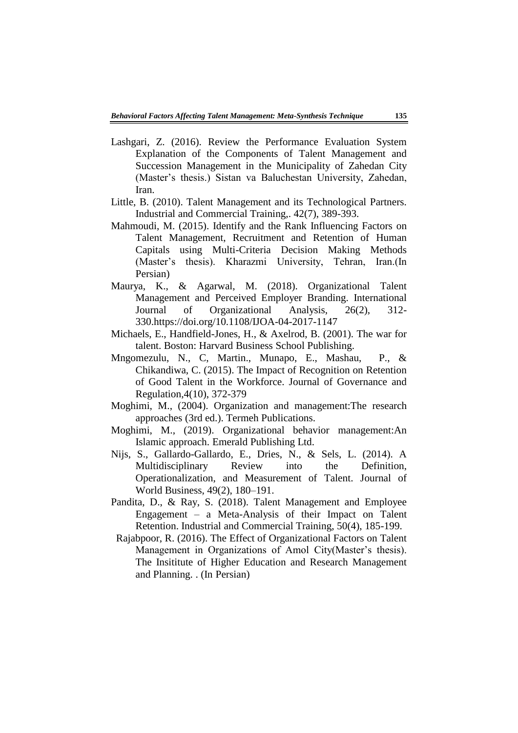- Lashgari, Z. (2016). Review the Performance Evaluation System Explanation of the Components of Talent Management and Succession Management in the Municipality of Zahedan City (Master's thesis.) Sistan va Baluchestan University, Zahedan, Iran.
- Little, B. (2010). Talent Management and its Technological Partners. Industrial and Commercial Training,. 42(7), 389-393.
- Mahmoudi, M. (2015). Identify and the Rank Influencing Factors on Talent Management, Recruitment and Retention of Human Capitals using Multi-Criteria Decision Making Methods (Master's thesis). Kharazmi University, Tehran, Iran.(In Persian)
- Maurya, K., & Agarwal, M. (2018). Organizational Talent Management and Perceived Employer Branding. International Journal of Organizational Analysis, 26(2), 312- 330.https://doi.org/10.1108/IJOA-04-2017-1147
- Michaels, E., Handfield-Jones, H., & Axelrod, B. (2001). The war for talent. Boston: Harvard Business School Publishing.
- Mngomezulu, N., C, Martin., Munapo, E., Mashau, P., & Chikandiwa, C. (2015). The Impact of Recognition on Retention of Good Talent in the Workforce. Journal of Governance and Regulation,4(10), 372-379
- Moghimi, M., (2004). Organization and management:The research approaches (3rd ed.). Termeh Publications.
- Moghimi, M., (2019). Organizational behavior management:An Islamic approach. Emerald Publishing Ltd.
- Nijs, S., Gallardo-Gallardo, E., Dries, N., & Sels, L. (2014). A Multidisciplinary Review into the Definition, Operationalization, and Measurement of Talent. Journal of World Business, 49(2), 180–191.
- Pandita, D., & Ray, S. (2018). Talent Management and Employee Engagement – a Meta-Analysis of their Impact on Talent Retention. Industrial and Commercial Training, 50(4), 185-199.
	- Rajabpoor, R. (2016). The Effect of Organizational Factors on Talent Management in Organizations of Amol City(Master's thesis). The Insititute of Higher Education and Research Management and Planning. . (In Persian)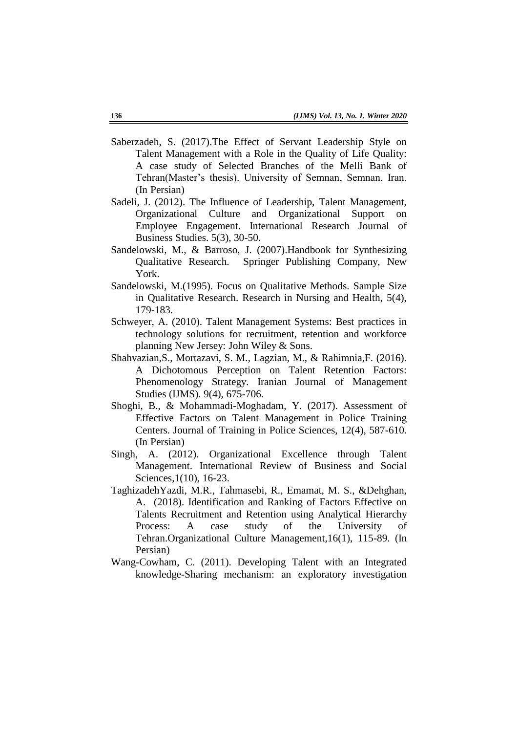- Saberzadeh, S. (2017).The Effect of Servant Leadership Style on Talent Management with a Role in the Quality of Life Quality: A case study of Selected Branches of the Melli Bank of Tehran(Master's thesis). University of Semnan, Semnan, Iran. (In Persian)
- Sadeli, J. (2012). The Influence of Leadership, Talent Management, Organizational Culture and Organizational Support on Employee Engagement. International Research Journal of Business Studies. 5(3), 30-50.
- Sandelowski, M., & Barroso, J. (2007).Handbook for Synthesizing Qualitative Research. Springer Publishing Company, New York.
- Sandelowski, M.(1995). Focus on Qualitative Methods. Sample Size in Qualitative Research. Research in Nursing and Health, 5(4), 179-183.
- Schweyer, A. (2010). Talent Management Systems: Best practices in technology solutions for recruitment, retention and workforce planning New Jersey: John Wiley & Sons.
- Shahvazian,S., Mortazavi, S. M., Lagzian, M., & Rahimnia,F. (2016). A Dichotomous Perception on Talent Retention Factors: Phenomenology Strategy. Iranian Journal of Management Studies (IJMS). 9(4), 675-706.
- Shoghi, B., & Mohammadi-Moghadam, Y. (2017). Assessment of Effective Factors on Talent Management in Police Training Centers. Journal of Training in Police Sciences, 12(4), 587-610. (In Persian)
- Singh, A. (2012). Organizational Excellence through Talent Management. International Review of Business and Social Sciences,1(10), 16-23.
- TaghizadehYazdi, M.R., Tahmasebi, R., Emamat, M. S., &Dehghan, A. (2018). Identification and Ranking of Factors Effective on Talents Recruitment and Retention using Analytical Hierarchy Process: A case study of the University of Tehran.Organizational Culture Management,16(1), 115-89. (In Persian)
- Wang-Cowham, C. (2011). Developing Talent with an Integrated knowledge-Sharing mechanism: an exploratory investigation